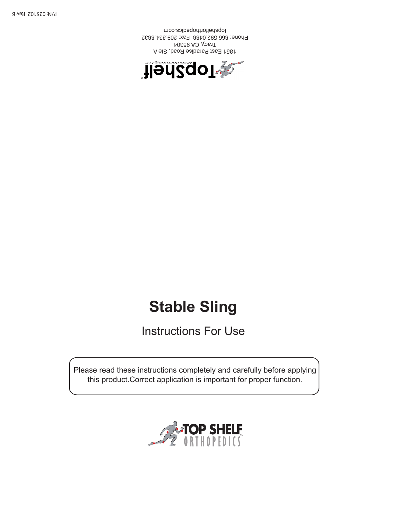

 Please read these instructions completely and carefully before applying this product.Correct application is important for proper function.

# Instructions For Use

**Stable Sling**



1851 East Paradise Road, Ste A Tracy, CA 95304 Phone: 866.592.0488 Fax: 209.834.8832 topshelforthopedics.com